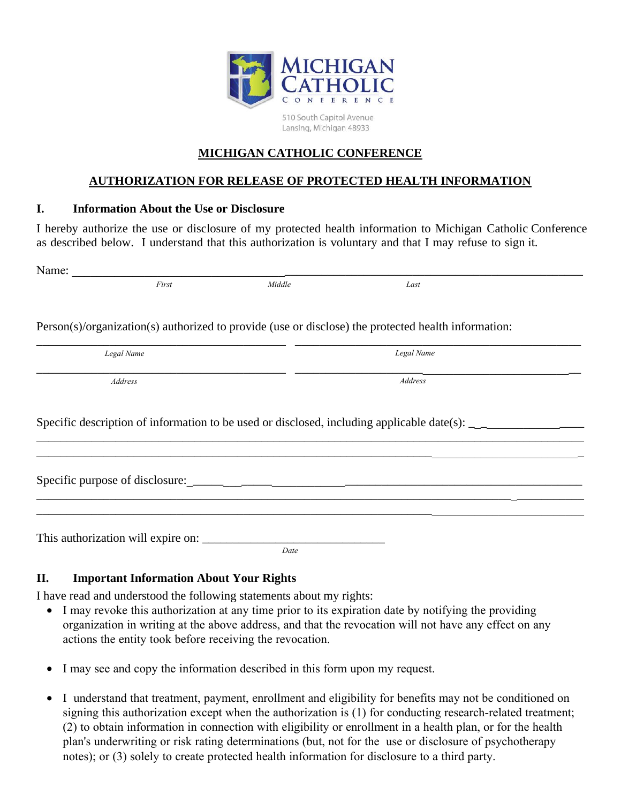

510 South Capitol Avenue Lansing, Michigan 48933

## **MICHIGAN CATHOLIC CONFERENCE**

## **AUTHORIZATION FOR RELEASE OF PROTECTED HEALTH INFORMATION**

## **I. Information About the Use or Disclosure**

I hereby authorize the use or disclosure of my protected health information to Michigan Catholic Conference as described below. I understand that this authorization is voluntary and that I may refuse to sign it.

| Name:                              |        |                                                                                                                     |  |
|------------------------------------|--------|---------------------------------------------------------------------------------------------------------------------|--|
| First                              | Middle | Last                                                                                                                |  |
|                                    |        | Person(s)/organization(s) authorized to provide (use or disclose) the protected health information:                 |  |
| Legal Name                         |        | Legal Name                                                                                                          |  |
| Address                            |        | Address                                                                                                             |  |
|                                    |        | Specific description of information to be used or disclosed, including applicable date(s): $\overline{\phantom{a}}$ |  |
|                                    |        | ,我们也不能在这里的时候,我们也不能在这里的时候,我们也不能会在这里的时候,我们也不能会在这里的时候,我们也不能会在这里的时候,我们也不能会在这里的时候,我们也不                                   |  |
| This authorization will expire on: |        |                                                                                                                     |  |
|                                    | Date   |                                                                                                                     |  |

## **II. Important Information About Your Rights**

I have read and understood the following statements about my rights:

- I may revoke this authorization at any time prior to its expiration date by notifying the providing organization in writing at the above address, and that the revocation will not have any effect on any actions the entity took before receiving the revocation.
- I may see and copy the information described in this form upon my request.
- I understand that treatment, payment, enrollment and eligibility for benefits may not be conditioned on signing this authorization except when the authorization is (1) for conducting research-related treatment; (2) to obtain information in connection with eligibility or enrollment in a health plan, or for the health plan's underwriting or risk rating determinations (but, not for the use or disclosure of psychotherapy notes); or (3) solely to create protected health information for disclosure to a third party.